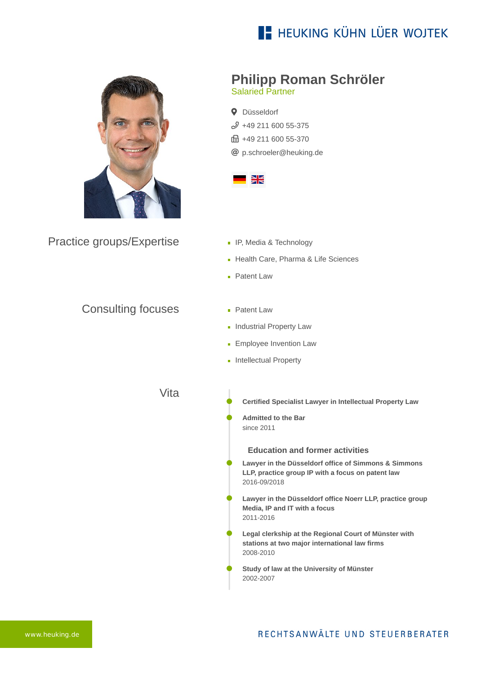## **E- HEUKING KÜHN LÜER WOJTEK**



Practice groups/Expertise

## **Philipp Roman Schröler**

Salaried Partner

**Q** Düsseldorf  $$49$  211 600 55-375 fa +49 211 600 55-370 [p.schroeler@heuking.de](mailto:p.schroeler@heuking.de?subject=Contact%20via%20website%20heuking.de)



- **IF, Media & Technology**
- Health Care, Pharma & Life Sciences
- **Patent Law**
- Consulting focuses
- **Patent Law**
- **Industrial Property Law**
- **Employee Invention Law**
- **Intellectual Property**

Vita

- **Certified Specialist Lawyer in Intellectual Property Law**
- **Admitted to the Bar** since 2011

**Education and former activities**

- **Lawyer in the Düsseldorf office of Simmons & Simmons LLP, practice group IP with a focus on patent law** 2016-09/2018
- **Lawyer in the Düsseldorf office Noerr LLP, practice group Media, IP and IT with a focus** 2011-2016
- **Legal clerkship at the Regional Court of Münster with stations at two major international law firms** 2008-2010
- **Study of law at the University of Münster** 2002-2007

[www.heuking.de](https://www.heuking.de/)